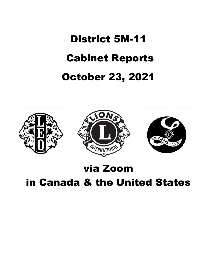# District 5M-11 Cabinet Reports October 23, 2021







# via Zoom

# in Canada & the United States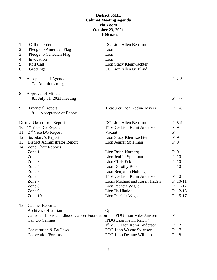# **District 5M11 Cabinet Meeting Agenda via Zoom October 23, 2021 11:00 a.m.**

| 1.<br>2.<br>3.<br>4.<br>5.<br>6. | Call to Order<br>Pledge to American Flag<br>Pledge to Canadian Flag<br>Invocation<br>Roll Call<br>Greetings                                                                                                                                                              | DG Lion Allen Bertilrud<br>Lion<br>Lion<br>Lion<br>Lion Stacy Kleinwachter<br>DG Lion Allen Bertilrud                                                                                                                                                                                                                                                                                      |                                                                                                                                        |
|----------------------------------|--------------------------------------------------------------------------------------------------------------------------------------------------------------------------------------------------------------------------------------------------------------------------|--------------------------------------------------------------------------------------------------------------------------------------------------------------------------------------------------------------------------------------------------------------------------------------------------------------------------------------------------------------------------------------------|----------------------------------------------------------------------------------------------------------------------------------------|
| 7.                               | Acceptance of Agenda<br>7.1 Additions to agenda                                                                                                                                                                                                                          |                                                                                                                                                                                                                                                                                                                                                                                            | $P. 2-3$                                                                                                                               |
| 8.                               | <b>Approval of Minutes</b><br>8.1 July 31, 2021 meeting                                                                                                                                                                                                                  |                                                                                                                                                                                                                                                                                                                                                                                            | $P. 4-7$                                                                                                                               |
| 9.                               | <b>Financial Report</b><br>9.1 Acceptance of Report                                                                                                                                                                                                                      | <b>Treasurer Lion Nadine Myers</b>                                                                                                                                                                                                                                                                                                                                                         | $P. 7-8$                                                                                                                               |
| 11.<br>12.                       | District Governor's Report<br>10. $1st$ Vice DG Report<br>$2nd$ Vice DG Report<br>Secretary's Report<br>13. District Administrator Report<br>14. Zone Chair Reports<br>Zone 1<br>Zone 2<br>Zone 3<br>Zone 4<br>Zone 5<br>Zone 6<br>Zone 7<br>Zone 8<br>Zone 9<br>Zone 10 | DG Lion Allen Bertilrud<br>1 <sup>st</sup> VDG Lion Kami Anderson<br>Vacant<br>Lion Stacy Kleinwachter<br>Lion Jenifer Spielman<br>Lion Brian Norberg<br>Lion Jenifer Spielman<br>Lion Chris Eck<br>Lion Dorothy Roof<br>Lion Benjamin Hulteng<br>1 <sup>st</sup> VDG Lion Kami Anderson<br>Lions Michael and Karen Hagen<br>Lion Patricia Wight<br>Lion Ila Hlatky<br>Lion Patricia Wight | $P. 8-9$<br>P.9<br>P.<br>P.9<br>P. 9<br>P. 9<br>P. 10<br>P. 10<br>P. 10<br>P.<br>P. 10<br>P. 10-11<br>P. 11-12<br>P. 12-15<br>P. 15-17 |
| 15.                              | <b>Cabinet Reports:</b><br>Archives / Historian<br><b>Canadian Lions Childhood Cancer Foundation</b><br>Can Do Canines<br>Constitution & By Laws<br>Convention/Forums                                                                                                    | Open<br><b>PDG Lion Mike Janssen</b><br>IPDG Lion Kevin Reich /<br>1 <sup>st</sup> VDG Lion Kami Anderson<br>PDG Lion Wayne Swanson<br><b>PDG Lion Deanne Williams</b>                                                                                                                                                                                                                     | P.<br>P.<br>P. 17<br>P. 17<br>P. 18                                                                                                    |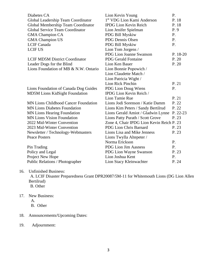| 1 <sup>st</sup> VDG Lion Kami Anderson<br>Global Leadership Team Coordinator<br>Global Membership Team Coordinator<br><b>IPDG Lion Kevin Reich</b><br><b>Global Service Team Coordinator</b><br>Lion Jenifer Spielman<br>P. 9<br><b>GMA Champion CA</b><br>PDG Bill Myskiw<br>P.<br><b>PDG Dennis Olsen</b><br><b>GMA Champion US</b><br>P.<br><b>LCIF</b> Canada<br>PDG Bill Myskiw<br>P.<br><b>LCIF US</b><br>Lion Tom Jorgens /<br>PDG Lion Joanne Swanson<br><b>PDG Gerald Fontaine</b><br><b>LCIF MD5M District Coordinator</b><br>Lion Ken Bauer<br>Leader Dogs for the Blind<br>Lions Foundation of MB & N.W. Ontario<br>Lion Bonnie Popowich /<br>Lion Claudette Match /<br>Lion Patricia Wight /<br>Lion Rick Pinchin<br>PDG Lion Doug Wiens<br>P.<br>Lions Foundation of Canada Dog Guides<br><b>MD5M Lions KidSight Foundation</b><br>IPDG Lion Kevin Reich /<br>Lion Tamie Rue<br><b>MN Lions Childhood Cancer Foundation</b><br>Lions Jodi Sorenson / Katie Damm<br><b>MN Lions Diabetes Foundation</b><br>Lions Kim Peters / Sandy Bertilrud<br><b>MN Lions Hearing Foundation</b><br>Lions Gerald Amiot / Gladwin Lynne<br><b>MN Lions Vision Foundation</b><br>Lions Patty Purath / Scott Grove<br>2022 Mid-Winter Convention<br>Zone 4, Chair IPDG Lion Kevin Reich P. 23<br>2023 Mid-Winter Convention<br>PDG Lion Chris Barnard<br>Lions Lisa and Mike Jenness<br>Newsletter / Technology-Webmasters<br><b>Peace Posters</b><br>Lions Twylla Altepeter /<br>Norma Erickson<br>P.<br><b>PDG Lion Jim Aasness</b><br>P.<br>Pin Trading<br>Policy and Legal<br>PDG Lion Wayne Swanson<br>Project New Hope<br>Lion Joshua Kent<br>P. | Diabetes CA                     | Lion Kevin Young        | P.       |
|-----------------------------------------------------------------------------------------------------------------------------------------------------------------------------------------------------------------------------------------------------------------------------------------------------------------------------------------------------------------------------------------------------------------------------------------------------------------------------------------------------------------------------------------------------------------------------------------------------------------------------------------------------------------------------------------------------------------------------------------------------------------------------------------------------------------------------------------------------------------------------------------------------------------------------------------------------------------------------------------------------------------------------------------------------------------------------------------------------------------------------------------------------------------------------------------------------------------------------------------------------------------------------------------------------------------------------------------------------------------------------------------------------------------------------------------------------------------------------------------------------------------------------------------------------------------------------------------------------------------------------------------------------|---------------------------------|-------------------------|----------|
|                                                                                                                                                                                                                                                                                                                                                                                                                                                                                                                                                                                                                                                                                                                                                                                                                                                                                                                                                                                                                                                                                                                                                                                                                                                                                                                                                                                                                                                                                                                                                                                                                                                     |                                 |                         | P. 18    |
|                                                                                                                                                                                                                                                                                                                                                                                                                                                                                                                                                                                                                                                                                                                                                                                                                                                                                                                                                                                                                                                                                                                                                                                                                                                                                                                                                                                                                                                                                                                                                                                                                                                     |                                 |                         | P. 18    |
|                                                                                                                                                                                                                                                                                                                                                                                                                                                                                                                                                                                                                                                                                                                                                                                                                                                                                                                                                                                                                                                                                                                                                                                                                                                                                                                                                                                                                                                                                                                                                                                                                                                     |                                 |                         |          |
|                                                                                                                                                                                                                                                                                                                                                                                                                                                                                                                                                                                                                                                                                                                                                                                                                                                                                                                                                                                                                                                                                                                                                                                                                                                                                                                                                                                                                                                                                                                                                                                                                                                     |                                 |                         |          |
|                                                                                                                                                                                                                                                                                                                                                                                                                                                                                                                                                                                                                                                                                                                                                                                                                                                                                                                                                                                                                                                                                                                                                                                                                                                                                                                                                                                                                                                                                                                                                                                                                                                     |                                 |                         |          |
|                                                                                                                                                                                                                                                                                                                                                                                                                                                                                                                                                                                                                                                                                                                                                                                                                                                                                                                                                                                                                                                                                                                                                                                                                                                                                                                                                                                                                                                                                                                                                                                                                                                     |                                 |                         |          |
|                                                                                                                                                                                                                                                                                                                                                                                                                                                                                                                                                                                                                                                                                                                                                                                                                                                                                                                                                                                                                                                                                                                                                                                                                                                                                                                                                                                                                                                                                                                                                                                                                                                     |                                 |                         |          |
|                                                                                                                                                                                                                                                                                                                                                                                                                                                                                                                                                                                                                                                                                                                                                                                                                                                                                                                                                                                                                                                                                                                                                                                                                                                                                                                                                                                                                                                                                                                                                                                                                                                     |                                 |                         | P. 18-20 |
|                                                                                                                                                                                                                                                                                                                                                                                                                                                                                                                                                                                                                                                                                                                                                                                                                                                                                                                                                                                                                                                                                                                                                                                                                                                                                                                                                                                                                                                                                                                                                                                                                                                     |                                 |                         | P. 20    |
|                                                                                                                                                                                                                                                                                                                                                                                                                                                                                                                                                                                                                                                                                                                                                                                                                                                                                                                                                                                                                                                                                                                                                                                                                                                                                                                                                                                                                                                                                                                                                                                                                                                     |                                 |                         | P. 20    |
|                                                                                                                                                                                                                                                                                                                                                                                                                                                                                                                                                                                                                                                                                                                                                                                                                                                                                                                                                                                                                                                                                                                                                                                                                                                                                                                                                                                                                                                                                                                                                                                                                                                     |                                 |                         |          |
|                                                                                                                                                                                                                                                                                                                                                                                                                                                                                                                                                                                                                                                                                                                                                                                                                                                                                                                                                                                                                                                                                                                                                                                                                                                                                                                                                                                                                                                                                                                                                                                                                                                     |                                 |                         |          |
|                                                                                                                                                                                                                                                                                                                                                                                                                                                                                                                                                                                                                                                                                                                                                                                                                                                                                                                                                                                                                                                                                                                                                                                                                                                                                                                                                                                                                                                                                                                                                                                                                                                     |                                 |                         |          |
|                                                                                                                                                                                                                                                                                                                                                                                                                                                                                                                                                                                                                                                                                                                                                                                                                                                                                                                                                                                                                                                                                                                                                                                                                                                                                                                                                                                                                                                                                                                                                                                                                                                     |                                 |                         | P. 21    |
|                                                                                                                                                                                                                                                                                                                                                                                                                                                                                                                                                                                                                                                                                                                                                                                                                                                                                                                                                                                                                                                                                                                                                                                                                                                                                                                                                                                                                                                                                                                                                                                                                                                     |                                 |                         |          |
|                                                                                                                                                                                                                                                                                                                                                                                                                                                                                                                                                                                                                                                                                                                                                                                                                                                                                                                                                                                                                                                                                                                                                                                                                                                                                                                                                                                                                                                                                                                                                                                                                                                     |                                 |                         |          |
|                                                                                                                                                                                                                                                                                                                                                                                                                                                                                                                                                                                                                                                                                                                                                                                                                                                                                                                                                                                                                                                                                                                                                                                                                                                                                                                                                                                                                                                                                                                                                                                                                                                     |                                 |                         | P. 21    |
|                                                                                                                                                                                                                                                                                                                                                                                                                                                                                                                                                                                                                                                                                                                                                                                                                                                                                                                                                                                                                                                                                                                                                                                                                                                                                                                                                                                                                                                                                                                                                                                                                                                     |                                 |                         | P. 22    |
|                                                                                                                                                                                                                                                                                                                                                                                                                                                                                                                                                                                                                                                                                                                                                                                                                                                                                                                                                                                                                                                                                                                                                                                                                                                                                                                                                                                                                                                                                                                                                                                                                                                     |                                 |                         | P. 22    |
|                                                                                                                                                                                                                                                                                                                                                                                                                                                                                                                                                                                                                                                                                                                                                                                                                                                                                                                                                                                                                                                                                                                                                                                                                                                                                                                                                                                                                                                                                                                                                                                                                                                     |                                 |                         | P. 22-23 |
|                                                                                                                                                                                                                                                                                                                                                                                                                                                                                                                                                                                                                                                                                                                                                                                                                                                                                                                                                                                                                                                                                                                                                                                                                                                                                                                                                                                                                                                                                                                                                                                                                                                     |                                 |                         | P. 23    |
|                                                                                                                                                                                                                                                                                                                                                                                                                                                                                                                                                                                                                                                                                                                                                                                                                                                                                                                                                                                                                                                                                                                                                                                                                                                                                                                                                                                                                                                                                                                                                                                                                                                     |                                 |                         |          |
|                                                                                                                                                                                                                                                                                                                                                                                                                                                                                                                                                                                                                                                                                                                                                                                                                                                                                                                                                                                                                                                                                                                                                                                                                                                                                                                                                                                                                                                                                                                                                                                                                                                     |                                 |                         | P. 23    |
|                                                                                                                                                                                                                                                                                                                                                                                                                                                                                                                                                                                                                                                                                                                                                                                                                                                                                                                                                                                                                                                                                                                                                                                                                                                                                                                                                                                                                                                                                                                                                                                                                                                     |                                 |                         | P. 23    |
|                                                                                                                                                                                                                                                                                                                                                                                                                                                                                                                                                                                                                                                                                                                                                                                                                                                                                                                                                                                                                                                                                                                                                                                                                                                                                                                                                                                                                                                                                                                                                                                                                                                     |                                 |                         |          |
|                                                                                                                                                                                                                                                                                                                                                                                                                                                                                                                                                                                                                                                                                                                                                                                                                                                                                                                                                                                                                                                                                                                                                                                                                                                                                                                                                                                                                                                                                                                                                                                                                                                     |                                 |                         |          |
|                                                                                                                                                                                                                                                                                                                                                                                                                                                                                                                                                                                                                                                                                                                                                                                                                                                                                                                                                                                                                                                                                                                                                                                                                                                                                                                                                                                                                                                                                                                                                                                                                                                     |                                 |                         |          |
|                                                                                                                                                                                                                                                                                                                                                                                                                                                                                                                                                                                                                                                                                                                                                                                                                                                                                                                                                                                                                                                                                                                                                                                                                                                                                                                                                                                                                                                                                                                                                                                                                                                     |                                 |                         | P. 23    |
|                                                                                                                                                                                                                                                                                                                                                                                                                                                                                                                                                                                                                                                                                                                                                                                                                                                                                                                                                                                                                                                                                                                                                                                                                                                                                                                                                                                                                                                                                                                                                                                                                                                     |                                 |                         |          |
|                                                                                                                                                                                                                                                                                                                                                                                                                                                                                                                                                                                                                                                                                                                                                                                                                                                                                                                                                                                                                                                                                                                                                                                                                                                                                                                                                                                                                                                                                                                                                                                                                                                     | Public Relations / Photographer | Lion Stacy Kleinwachter | P. 24    |

# 16. Unfinished Business:

A. LCIF Disaster Preparedness Grant DPR20087/5M-11 for Whitemouth Lions (DG Lion Allen Bertilrud) B. Other

- 17. New Business:
	- A.
	- B. Other
- 18. Announcements/Upcoming Dates:
- 19. Adjournment: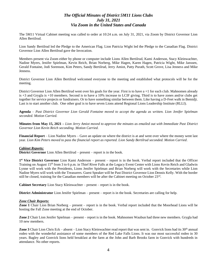# *The Official Minutes of District 5M11 Lions Clubs July 31, 2021 Via Zoom in the United States and Canada*

The 5M11 Virtual Cabinet meeting was called to order at 10:24 a.m. on July 31, 2021, via Zoom by District Governor Lion Allen Bertilrud.

Lion Sandy Bertilrud led the Pledge to the American Flag. Lion Patricia Wight led the Pledge to the Canadian Flag. District Governor Lion Allen Bertilrud gave the Invocation.

Members present via Zoom either by phone or computer include Lions Allen Bertilrud, Kami Anderson, Stacy Kleinwachter, Nadine Myers, Jenifer Spielman, Kevin Reich, Brian Norberg, Mike Hagen, Karen Hagen, Patricia Wight, Mike Janssen, Gerald Fontaine, Jodi Sorenson, Kim Peters, Sandy Bertilrud, Jerry Amiot, Patty Purath, Scott Grove, Lisa Jenness and Mike Jenness.

District Governor Lion Allen Bertilrud welcomed everyone to the meeting and established what protocols will be for the meeting.

District Governor Lion Allen Bertilrud went over his goals for the year. First is to have a +1 for each club. Mahnomen already is +3 and Grygla is +10 members. Second is to have a 10% increase to LCIF giving. Third is to have zones and/or clubs get together for service projects or fundraisers. Or to have something similar between them. Like having a D-Feet walk in Bemidji. Last is to start another club. One other goal is to have seven Lions attend Regional Lions Leadership Institute (RLLI).

**Agenda** – *Past District Governor Lion Gerald Fontaine moved to accept the agenda as written. Lion Jenifer Spielman seconded. Motion Carried.*

**Minutes from May 15, 2021 –** *Lion Jerry Amiot moved to approve the minutes as emailed out with Immediate Past District Governor Lion Kevin Reich seconding. Motion Carried.*

**Financial Report** – Lion Nadine Myers – Gave an update on where the district is at and went over where the money went last year. *Lion Kim Peters moved to pass the financial report as reported. Lion Sandy Bertilrud seconded. Motion Carried*.

# *Cabinet Reports:*

**District Governor** Lion Allen Bertilrud – present – report is in the book.

**1 st Vice District Governor** Lion Kami Anderson – present – report is in the book. Verbal report included that the Officer Training on August 15th from 3 to 6 p.m. in Thief River Falls at the Legacy Event Center with Lions Kevin Reich and Gladwin Lynne will work with the Presidents, Lions Jenifer Spielman and Brian Norberg will work with the Secretaries while Lion Nadine Myers will work with the Treasurers. Guest Speaker will be Past District Governor Lion Dennis Kelly. With the border still be closed, training for the Canadian members will be after the Cabinet meeting on October  $23<sup>rd</sup>$ .

**Cabinet Secretary** Lion Stacy Kleinwachter – present – report is in the book.

**District Administrator** Lion Jenifer Spielman – present – report is in the book. Secretaries are calling for help.

#### *Zone Chair Reports:*

**Zone 1** Chair Lion Brian Norberg – present – report is in the book. Verbal report included that the Moorhead Lions will be hosting the Fall Zone meeting at the end of October.

**Zone 2** Chair Lion Jenifer Spielman – present – report is in the book. Mahnomen Waubun had three new members. Grygla had 10 new members.

**Zone 3** Chair Lion Chris Eck – absent – Lion Stacy Kleinwachter read report that was sent in. Gonvick lions had its 30<sup>th</sup> annual rodeo with the wonderful assistance of some members of the Red Lake Falls Lions. It was our most successful rodeo in 30 years. Bagley and Gonvick lions held breakfast at the farm at the John and Barb Brooks farm in Gonvick with hundreds in attendance. No other reports.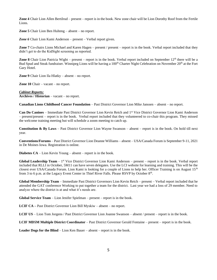**Zone 4** Chair Lion Allen Bertilrud – present – report is in the book. New zone chair will be Lion Dorothy Roof from the Fertile Lions.

**Zone 5** Chair Lion Ben Hulteng – absent – no report.

*Zone 6* Chair Lion Kami Anderson – present – Verbal report given.

**Zone 7** Co-chairs Lions Michael and Karen Hagen – present / present – report is in the book. Verbal report included that they didn't get to do the KidSight screening as reported.

**Zone 8** Chair Lion Patricia Wight – present – report is in the book. Verbal report included on September  $12<sup>th</sup>$  there will be a Bud Spud and Steak fundraiser. Winnipeg Lions will be having a 100<sup>th</sup> Charter Night Celebration on November 20<sup>th</sup> at the Fort Gary Hotel.

**Zone 9** Chair Lion Ila Hlatky – absent – no report.

**Zone 10** Chair – vacant – no report.

#### *Cabinet Reports:* **Archives / Historian** – vacant – no report.

**Canadian Lions Childhood Cancer Foundation** – Past District Governor Lion Mike Janssen – absent – no report.

**Can Do Canines** – Immediate Past District Governor Lion Kevin Reich and 1st Vice District Governor Lion Kami Anderson – present/present – report is in the book. Verbal report included that they volunteered to co-chair this program. They missed the welcome training meeting but will schedule a zoom meeting to catch up.

**Constitution & By Laws** – Past District Governor Lion Wayne Swanson – absent – report is in the book. On hold till next year.

**Conventions/Forums** – Past District Governor Lion Deanne Williams – absent – USA/Canada Forum is September 9-11, 2021 in De Moines Iowa. Registration is online.

**Diabetes CA** – Lion Kevin Young – absent – report is in the book.

Global Leadership Team - 1<sup>st</sup> Vice District Governor Lion Kami Anderson - present - report is in the book. Verbal report included that RLLI in October, 5M11 can have seven delegates. Use the LCI website for learning and training. This will be the closest ever USA/Canada Forum. Lion Kami is looking for a couple of Lions to help her. Officer Training is on August  $15<sup>th</sup>$ from 3 to 6 p.m. at the Legacy Event Center in Thief River Falls. Please RSVP by October  $8<sup>th</sup>$ .

**Global Membership Team** – Immediate Past District Governors Lion Kevin Reich – present – Verbal report included that he attended the GAT conference Working to put together a team for the district. Last year we had a loss of 29 member. Need to analyze where the district is at and what it's needs are.

**Global Service Team** – Lion Jenifer Spielman – present – report is in the book.

**LCIF CA –** Past District Governor Lion Bill Myskiw – absent – no report.

**LCIF US** – Lion Tom Jorgens / Past District Governor Lion Joanne Swanson – absent / present – report is in the book.

**LCIF MD5M Multiple District Coordinator** – Past District Governor Gerald Fontaine – present – report is in the book.

**Leader Dogs for the Blind** – Lion Ken Bauer – absent – report is in the book.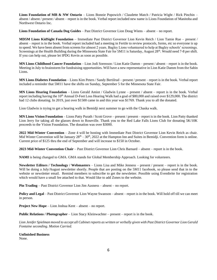**Lions Foundation of MB & NW Ontario** – Lions Bonnie Popowich / Claudette Match / Patricia Wight / Rick Pinchin – absent / absent / present / absent – report is in the book. Verbal report included new name is Lions Foundation of Manitoba and Northwest Ontario Inc.

**Lions Foundation of Canada Dog Guides** – Past District Governor Lion Doug Wiens – absent – no report.

**MD5M Lions KidSight Foundation** – Immediate Past District Governor Lion Kevin Reich / Lion Tamie Rue – present / absent – report is in the book. Verbal report included had a meeting in Fertile to review protocols, forms, etc so everyone is up to speed. We have been absent from screens for almost 2 years. Bagley Lions volunteered to help at Bagley schools' screenings. Screenings at the Health Building during the Minnesota State Fair for 5M11 is Saturday, August  $28<sup>th</sup>$ . Would need 7-8 per shift. If you can help out, please let IPDG Kevin as soon as possible.

**MN Lions Childhood Cancer Foundation** – Lion Jodi Sorenson / Lion Katie Damm – present / absent – report is in the book. Meeting in July to brainstorm for fundraising opportunities. Will have a new representative in Lion Katie Damm from the Sabin Lions.

**MN Lions Diabetes Foundation** – Lions Kim Peters / Sandy Bertilrud – present / present – report is in the book. Verbal report included a reminder that 5M11 have the shifts on Sunday, September 5 for the Minnesota State Fair.

**MN Lions Hearing Foundation** – Lions Gerald Amiot / Gladwin Lynne – present / absent – report is in the book. Verbal report including having the 10th Annual D-Feet Loss Hearing Walk had a goal of \$80,000 and raised over \$129,000. The district had 12 clubs donating. In 2019, just over \$1500 came in and this year was \$1769. Thank you to all the donated.

Lion Gladwin is trying to get a hearing walk in Bemidji next summer to go with the Chaska walk.

**MN Lions Vision Foundation** – Lions Patty Purath / Scott Grove – present / present – report is in the book. Lion Patty thanked Lion Jerry for taking all the glasses down to Roseville. Thank you to the Red Lake Falls Lions Club for donating 5K/10K proceeds to the Vision Foundation. The donation was over \$3000.

**2022 Mid-Winter Convention** – Zone 4 will be hosting with Immediate Past District Governor Lion Kevin Reich as chair. Mid Winter Convention will be January  $28<sup>th</sup> - 30<sup>th</sup>$ , 2022 at the Hampton Inn and Suites in Bemidji. Convention form is online. Current price of \$125 thru the end of September and will increase to \$150 in October.

**2023 Mid-Winter Convention Chair** – Past District Governor Lion Chris Barnard – absent – report is in the book.

**NAMI** is being changed to GMA. GMA stands for Global Membership Approach. Looking for volunteers.

**Newsletter Editors / Technology / Webmasters** – Lions Lisa and Mike Jenness – present / present – report is in the book. Will be doing a July/August newsletter shortly. People that are posting on the 5M11 facebook, so please send that in to the website or newsletter email. Remind members to subscribe to get the newsletter. Possible using Eventbrite for registration which would have a small fee attached to that. Would like to add Zones to the website.

**Pin Trading** – Past District Governor Lion Jim Aasness – absent – no report.

**Policy and Legal** – Past District Governor Lion Wayne Swanson – absent – report is in the book. Will hold off till we can meet in person.

**Project New Hope** – Lion Joshua Kent – absent – no report.

**Public Relations / Photographer** – Lion Stacy Kleinwachter – present – report is in the book.

*Lion Jenifer Spielman moved to accept all Cabinet reports as written or verbally given with Past District Governor Lion Gerald Fontaine seconding. Motion Carried.*

# **Unfinished Business**

None.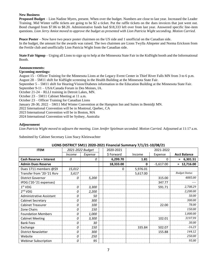# **New Business**

**Proposed Budget** – Lion Nadine Myers, present. When over the budget. Numbers are close to last year. Increased the Leader Training. Mid Winter raffle tickets are going to be \$2 a ticket. Put the raffle tickets on the dues invoices that just went out. Bond changed from \$7.86 to \$8.20. Administrative funds had \$18,333 left over from last year. Answered specific line-item questions. *Lion Jerry Amiot moved to approve the budget as presented with Lion Patricia Wight seconding. Motion Carried.* 

**Peace Poster** – Now have two peace poster chairmen on the US side and 1 unofficial on the Canadian side. In the budget, the amount for the awards was raised. The two chairmen are Lions Twylla Altepeter and Norma Erickson from the Fertile club and unofficially Lion Patricia Wight from the Canadian side.

**State Fair Signup** – Urging all Lions to sign up to help at the Minnesota State Fair in the KidSight booth and the Informational Booth.

# **Announcements:**

# **Upcoming meetings:**

August 15 – Officer Training for the Minnesota Lions at the Legacy Event Center in Thief River Falls MN from 3 to 6 p.m. August 28 – 5M11 shift for KidSight screening in the Health Building at the Minnesota State Fair.

September 5 – 5M11 shift for Hearing/Vision/Diabetes information in the Education Building at the Minnesota State Fair.

September 9-11 – USA/Canada Forum in Des Moines, IA.

October 21-24 – RLLI training in Detroit Lakes, MN.

October 23 – 5M11 Cabinet Meeting at 11 a.m.

October 23 – Officer Training for Canadian Lions

January 28-30, 2022 – 5M11 Mid Winter Convention at the Hampton Inn and Suites in Bemidji MN.

2022 International Convention will be in Montreal, Quebec, CA

2023 International Convention will be in Boston, MA

2024 International Convention will be Sydney, Australia

# **Adjournment**

*Lion Patricia Wight moved to adjourn the meeting. Lion Jenifer Spielman seconded. Motion Carried.* Adjourned at 11:17 a.m.

Submitted by Cabinet Secretary Lion Stacy Kleinwachter

| <b>ITEM</b>                     | 2021-2022 Budget |              | 2020-2021 | . .      | 2021-2022   |                      |
|---------------------------------|------------------|--------------|-----------|----------|-------------|----------------------|
|                                 | <i>Income</i>    | Expense      | \$Forward | Income   | Expense     | <b>Acct Balance</b>  |
| <b>Cash Reserve + Interest</b>  | 0                | 0            | 6,299.70  | 1.81     | 0           | 6,301.51<br>$=$      |
| <b>Admin Dues Reserve</b>       |                  |              | 18,333.00 | 0        | $-5,617.00$ | $= 12,716.00$        |
| Dues 1711 members @\$9          | 15,012           |              | 0         | 5,976.01 |             |                      |
| Transfer from '20-'21 Rsrv      | 5,617            |              |           | 5,617.00 |             | <b>Budget Status</b> |
| <b>District Governor</b>        | 0                | 5,200        |           |          | 315.00      | 4885.00              |
| IPDG ('20-'21 expenses)         |                  |              |           |          | 347.77      |                      |
| $1st$ VDG                       | 0                | 3,300        |           |          | 591.71      | 2,708.29             |
| 2 <sup>nd</sup> VDG             | 0                | 2,200        |           |          |             | 2,200.00             |
| <b>Administrative Assistant</b> | 0                | 50           |           |          |             | 50.00                |
| Cabinet Secretary               | 0                | 300          |           |          |             | 300.00               |
| <b>Cabinet Treasurer</b>        | 0                | <i>100</i>   |           |          | 22.00       | 78.00                |
| Zone Chairs                     | 0                | <i>150</i>   |           |          |             | 150.00               |
| <b>Foundation Members</b>       | 0                | <i>1,000</i> |           |          |             | 1,000.00             |
| <b>Cabinet Meeting</b>          | 0                | 3,300        |           |          | 102.01      | 3197.99              |
| <b>Bank Fees</b>                | 0                | 30           |           |          |             | 30.00                |
| Exchange                        | 0                | 150          |           | 335.84   | 502.07      | $-16.23$             |
| <b>District Newsletter</b>      | 0                | 300          |           |          | 155.88      | 144.12               |
| Website                         | 0                | 250          |           |          |             | 250.00               |
| <b>Webinar Subscription</b>     | 0                | 95           |           |          |             | 95.00                |

# **LIONS DISTRICT 5M11 2020-2021 Financial Summary 7/1/21-10/08/21**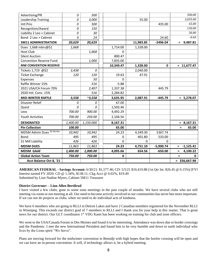| Advertising/PR                        | 0        | 500            |             |           |              | 500.00             |
|---------------------------------------|----------|----------------|-------------|-----------|--------------|--------------------|
| Leadership Training                   | 0        | 3,000          |             | 55.00     |              | 3,055.00           |
| Intl Pins                             | 0        | 500            |             |           | 435.00       | 65.00              |
| Recognition/Award                     | 0        | 150            |             |           |              | 150.00             |
| Liability 2 Leo + Cabinet             | 0        | 30             |             |           |              | 30.00              |
| Bond 2 Leo + Cabinet                  | 0        | 24             |             |           | 24.60        | $-0.60$            |
| <b>5M11 ADMINISTRATION</b>            | 20,629   | 20,629         |             | 11,983.85 | $-2496.04$   | $= 9,487.81$       |
| Dues 1,668 mbrs@\$1                   | 1,668    |                | 1,714.00    | 1,328.00  |              |                    |
| <b>Host Club</b>                      |          | 1,668          | $\Omega$    |           |              |                    |
| <b>Silent Auction</b>                 |          |                | 800.47      |           |              |                    |
| <b>Convention Reserve Fund</b>        |          | 1,000          | 7,835.00    |           |              |                    |
| <b>MW CONVENTION RESERVE</b>          |          |                | 10,349.47   | 1,328.00  | $\mathbf{0}$ | $= 11,677.47$      |
| Tickets 1,719 @\$2                    | 3,438    | 0              |             | 2,040.00  |              |                    |
| <b>Ticket Exchange</b>                | 120      | 120            | 19.63       | 47.91     |              |                    |
| Expenses                              |          | 50             | 0           |           |              |                    |
| Raffle Winner 15%                     |          | 516            | $-5.88$     |           |              |                    |
| 2021 USA/CA Forum 70%                 |          | 2,407          | 1,337.38    |           | 445.79       |                    |
| 2020 Intl. Conv. 15%                  |          | 516            | 2,284.82    |           |              |                    |
| <b>MID-WINTER RAFFLE</b>              | 3,558    | $^{\sim}3,558$ | 3,635.95    | 2,087.91  | $-445.79$    | $= 5,278.07$       |
| Disaster Relief                       | 0        | 0              | 67.00       |           |              |                    |
| Quest                                 | 0        | 0              | 1,503.46    |           |              |                    |
| Leos                                  | 700.00   | 900.00         | 4,492.29    |           |              |                    |
| <b>Youth Activities</b>               | 700.00   | 250.00         | 2,104.56    |           |              |                    |
| <b>DESIGNATED</b>                     | 1,400.00 | 1,150.000      | 8,167.31    |           |              | $= 8,167.31$       |
| <b>Pin Collection</b>                 | 100.00   |                | 65.00       |           |              | 65.00<br>$=$       |
| MD5M Admin Dues <sup>\$6.56/mbr</sup> | 10,942   | 10,942         | 24.23       | 4,349.30  | 5367.74      |                    |
| Bond                                  | 495      | 495            | 0           | 401.80    | 533.00       |                    |
| \$1 Mill Liability                    | 426      | 426            | 0           | 0         | 0            |                    |
| <b>MD5M DUES</b>                      | 11,863   | 11,863         | 24.23       | 4,751.10  | $-5,900.74$  | $-1,125.41$<br>$=$ |
| <b>MD5M GAAF</b>                      | 1,400.00 | 1,000.00       | 4,095.66    | 654.56    | $-650.00$    | 4,100.22<br>$=$    |
| <b>Global Action Team</b>             | 750.00   | 750.00         | $\mathbf 0$ |           |              | $=$<br>0           |
| Acct Balance Oct 8, '21               |          |                |             |           |              | $=$ \$56,667.98    |

**AMERICAN FEDERAL - Savings Account:** 6/30/21: \$1,577.46; CD: 5/5/21 \$10,419.88 (1st Qtr Int. \$26.45 @ 0.15%) [FYI Interest earned FY 2020: CD @ 1.34%, \$138.11; Ckg Acct @ 0.02%, \$19.49 Submitted by Lion Nadine Myers, Cabinet 5M11 Treasurer

# **District Governor: - Lion Allen Bertilrud**

I have visited a few clubs, gone to some zone meetings in the past couple of months. We have several clubs who are still meeting via zoom or not meeting at all. Our need to become actively involved in our communities has never bee more important. If we can not do projects as clubs, when we need to do individual acts of kindness.

We have 6 members who are going to RLLI in Detroit Lakes and have 2 Canadian members registered for the November RLLI in Winnipeg. This exceeds our district goal of 7 members to RLLI and I thank you for your help in this matter. That is great news for our district. Our GLT coordinator 1st VDG Kami has been working on training for club and zone officers.

We went to the USA/Canada Forum in Des Moines and found it to be interesting. Attendance was down due to border crossings and the Pandemic. I met the new International President and found him to be very humble and down to earth individual who lives by the Lions spirit "We Serve".

Plans are moving forward for the midwinter convention in Bemidji with high hopes that the border crossing will be open and we can have an in-person convention. It will, if technology allows it, be a hybrid meeting.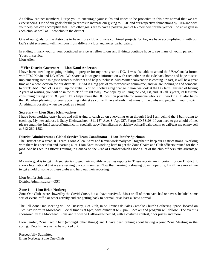As fellow cabinet members, I urge you to encourage your clubs and zones to be proactive in this new normal that we are experiencing. One of our goals for the year was to increase our giving to LCIF and our respective foundations by 10% and with your help, we can accomplish that. Two other goals are to have a positive gain of 65 members for the year or 1 positive gain in each club, as well as 1 new club in the district.

One of our goals for the district is to have more club and zone combined projects. So far, we have accomplished it with our kid's sight screening with members from different clubs and zones participating.

In ending, I thank you for your continued service as fellow Lions and if things continue hope to see many of you in person. Yours in service,

Lion Allen

# **1 st Vice District Governor: — Lion Kami Anderson**

I have been attending ongoing training to prepare for my next year as DG. I was also able to attend the USA/Canada forum with PDG Kevin and DG Allen. We shared a lot of great information with each other on the ride back home and hope to start implementing some things to better our district and help our clubs! Mid-Winter convention is coming up fast, it will be a great time and a new location for our district! TEAM is a big part of your executive committee, and we are looking to add someone to our TEAM! 2nd VDG is still up for grabs! You will notice a big change in how we look at the DG term. Instead of having 2 years of waiting, you will be in the thick of it right away. We hope by utilizing the 2nd, 1st, and DG all 3 years, its less time consuming during your DG year. This helps make the DG position possible for someone who is still working. It also helps the DG when planning for your upcoming cabinet as you will have already met many of the clubs and people in your district. Anything is possible when we work as a team!

# **Secretary — Lion Stacy Kleinwachter**

I have been working crazy hours and still trying to catch up on everything even though I feel I am behind the 8 ball trying to catch up. My new address is Stacy Kleinwachter 4311 15<sup>th</sup> Ave. S. Apt 227, Fargo ND 58103. If you need to get a hold of me, please email the [5m11cabsec@gmail.com,](mailto:5m11cabsec@gmail.com) [specialk.stacy@gmail.com](mailto:specialk.stacy@gmail.com) o[r skleinwachter@yahoo.com](mailto:skleinwachter@yahoo.com) or call/text me on my cell at 612-269-1582.

# **District Administrator / Global Service Team Coordinator – Lion Jenifer Spielman**

The District has a great DG Team. Lions Allen, Kami and Kevin work really well together to keep our District strong. Working with them has been fun and learning a lot. Lion Kami is working hard to get the Zone Chairs and Club officers trained for their jobs. She has set up Officer Training in Canada on the 23rd of October which I hope a lot of the club officers take advantage of.

My main goal is to get club secretaries to get their monthly activities reports in. These reports are important for our District. It shows International that we are serving our communities. Now that farming is slowing down hopefully, I will have more time to get a hold of some of these clubs and help out their reporting.

Lion Jenifer Spielman District Administrator - GST

# **Zone 1: — Lion Brian Norberg**

Zone One Clubs were slowed by the Covid-Curse, but all have survived. Most or all of them have had or have scheduled some sort of event, raffle or other activity and are getting back to normal, or at least a "new normal."

The Fall Zone One Meeting will be Tuesday, Oct. 26th, in St. Francis de Sales Catholic Church Gathering Space, located on 15th Ave North in Moorhead. Social time is at 6pm, with dinner at 6:30 pm. Speaker and program will follow. The event is sponsored by the Moorhead Lions and it will be Halloween-themed, with a costume contest, door prizes and more.

Lion Jenifer, Zone Two Chair (amongst other things) and I have been talking about having a joint Zone Meeting in the spring. Details have yet to be worked out.

Respectfully Submitted, Brian Norberg, Zone One Chair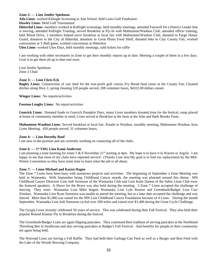# **Zone 2: — Lion Jenifer Spielman**

**Ada Lions**- worked Kidsight Screening in Ada School. held Lions Golf Fundraiser.

# **Hawley Lions-** Held Golf Tournament

**Hitterdal Lions-** members worked at KidSight screenings, held monthly meetings, attended Farewell for a District Leader that is moving, attended KidSight Training, served Breakfast at Fly-In with Mahnomen/Waubun Club, attended officer training, held Blood Drive, 2 members helped serve breakfast at local fair with Mahnomen/Waubun Club, donated to Fargo Honor Guard, donation to the City of Hitterdal, donation to Great Plains Food Shelf, donated bike to Clay County Fair, worked concessions at T-Ball game, worked concessions at Hitterfest

**Ulen Lions**- worked Ulen Days, held monthly meetings, sold tickets for raffle

I am working with other secretaries in Zone to get their monthly reports up to date. Meeting a couple of them in a few days. Goal is to get them all up to date real soon.

Lion Jenifer Spielman Zone 2 Chair

# **Zone 3: — Lion Chris Eck**

**Bagley Lions:** Construction of cart shed for the non-profit golf course, Fry Bread fund raiser at the County Fair, Cleaned ditches along Hwy 2, spring cleaning 520 people served, 208 volunteer hours, \$4322.00 dollars raised.

**Winger Lions:** No reports/activities

**Fosston-Lengby Lions:** No report/activities

**Gonvick Lions:** Donated funds to Gonvick Pumpkin Days, many Lions members donated time for the festival, ramp placed at home of community member in need, Lions served at Breakfast at the farm at the John and Barb Brooks Farm.

**Mahnomen-Waubun Lions**: Served breakfast at local fair, Parade in Waubun, monthly meeting, Mahnomen-Waubun Area Lions Meeting. 450 people served, 31 volunteer hours,

# **Zone 4: — Lion Dorothy Roof**

I am new to the position and am currently working on contacting all of the clubs.

# **Zone 6: — 1 st VDG Lion Kami Anderson**

I am planning a zone meeting for zones 5 & 6 November 21<sup>st</sup> starting at 4pm. My hope is to have it in Warren or Argyle. I am happy to see that most of my clubs have reported service! (Thanks Lion Jen) My goal is to find my replacement by the Mid-Winter Convention so they have some time to learn what the job is all about.

# **Zone 7: — Lions Michael and Karen Hagen**

The Zone 7 Lions have been busy with numerous projects and activities. The beginning of September a Zone Meeting was held in Wannaska. With September being Childhood Cancer month, the meeting was planned around this theme. MN Childhood Cancer Directors Lion Jodi Sorenson of the Wannaska Club and Lion Katie Damm of the Sabin Lions Club were the featured speakers. A Shave for the Brave was also held during the meeting. 3 Zone 7 Lions accepted the challenge of shaving. They were: Wannaska Lion Mike Hagen, Wannaska Lion Lyle Roseen and Greenbush/Badger Lion Curt Zimdars. Wannaska Lion Ryan Sorenson was unable to attend the meeting, but at a later date accepted the challenge and was shaved. More than \$1,000 was raised for the MN Lion Childhood Cancer Foundation because of 4 Lions. During the month September, Wannaska Lion Jodi Sorenson cycled over 200 miles and raised over \$1,400 during the Great Cycle Challenge.

The Grygla Lions recently celebrated 50 years of service. This was celebrated during their Fall Festival. They also held their popular Roland Klamar Fly in Breakfast during the festival.

The Greenbush/Badger Lions are again flipping pancakes. They continued their tradition of serving pancakes at the Northland Threshing Bee in Strathcona and also serving pancakes at Badger's Fall Festival. And benefits for people in their community are again being held.

The Warroad Lions are having a Fall Raffle. They had held their Garbage Can Feed as well as a Burger and Brat Feed with the Lake of the Woods Brewing Company.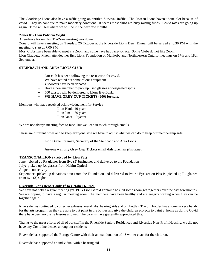The Goodridge Lions also have a raffle going on entitled Survival Raffle. The Roseau Lions haven't done alot because of covid. They do continue to make monetary donations. It seems most clubs are busy raising funds. Covid rates are going up again. Time will tell where we will be in the next few months.

# **Zones 8: - Lion Patricia Wight**

Attendance for our last Tri-Zone meeting was down.

Zone 8 will have a meeting on Tuesday, 26 October at the Riverside Lions Den. Dinner will be served at 6:30 PM with the meeting to start at 7:00 PM.

Most Clubs have been able to meet via Zoom and some have had face-to-face. Some Clubs do not like Zoom.

Lion Claudette Match attended her first Lions Foundation of Manitoba and Northwestern Ontario meetings on 17th and 18th September.

# **STEINBACH AND AREA LIONS CLUB**

- Our club has been following the restriction for covid.
- We have rented out some of our equipment.
- 4 scooters have been donated.
- Have a new member to pick up used glasses at designated spots.
- 500 glasses will be delivered to Lions Eye Bank.
- **WE HAVE GREY CUP TICKETS (900) for sale.**

Members who have received acknowledgement for Service

Lion Hank 40 years Lion Jim 30 years Lion Janet 10 years

We are not always meeting face to face. But we keep in touch through emails.

These are different times and to keep everyone safe we have to adjust what we can do to keep our membership safe.

Lion Diane Foreman, Secretary of the Steinbach and Area Lions.

# **Anyone wanting Grey Cup Tickets email daleforeman @mts.net**

# **TRANSCONA LIONS (retyped by Lion Pat)**

June: picked up Rx glasses from five (5) businesses and delivered to the Foundation July: picked up Rx glasses from Hakim Optical

August: no activity

September: picked up donations boxes rom the Foundation and delivered to Prairie Eyecare on Plessis; picked up Rx glasses from two (2) sights

# **Riverside Lions Report July 1st to October 6, 2021**

We have not held a regular meeting yet. PDG Lion Gerald Fontaine has led some zoom get togethers over the past few months. We are hoping to have a regular meeting soon. The members have been healthy and are eagerly waiting when they can be together again.

Riverside has continued to collect eyeglasses, metal tabs, hearing aids and pill bottles. The pill bottles have come in very handy for the arts program, as they are able to put paint in the bottles and give the children projects to paint at home as during Covid there have been no onsite lessons allowed. The parents have gratefully appreciated this.

Thanks to the great efforts of all of our staff in the Riverside Seniors Residences and Riverside Non-Profit Housing, we did not have any Covid incidences among our residents.

Riverside has supported the Refuge Centre with their annual donation of 48 winter coats for the children.

Riverside has supported an individual with a hearing aid.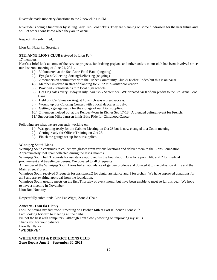Riverside made monetary donations to the 2 new clubs in 5M11.

Riverside is doing a fundraiser by selling Grey Cup Pool tickets. They are planning on some fundraisers for the near future and will let other Lions know when they are to occur.

Respectfully submitted,

Lion Jan Nazarko, Secretary

# **STE. ANNE LIONS CLUB** (retyped by Lion Pat)

#### 17 members

Here's a brief look at some of the service projects, fundraising projects and other activities our club has been involved since our last zone meeting of June 21, 2021.

- 1.) Volunteered at the Ste. Anne Food Bank (ongoing)
- 2.) Eyeglass Collecting-Sorting/Delivering (ongoing)
- 3.) 2 members on committees with the Richer Community Club & Richer Rodeo but this is on pause
- 4.) Member involved in start of planning for 2022 mid-winter convention
- 5.) Provided 2 scholarships to 2 local high schools
- 6.) Hot Dog sales every Friday in July, August & September. WE donated \$400 of our profits to the Ste. Anne Food Bank.
- 7.) Held our Car Show on August 18 which was a great success.
- 8.) Wound up our Coloring Contest with 3 local daycares in July.
- 9.) Getting a garage ready for the storage of our Lion supplies.
- 10.) 2 members helped out at the Rendez-Vous in Richer Sep 17-18, A blended cultural event for French.
- 11.) Supporting Mike Janssen in his Bike Ride for Childhood Cancer

Following are what we are currently working on:

- 1.) Was getting ready for the Cabinet Meeting on Oct 23 but is now changed to a Zoom meeting.
- 2.) Getting ready for Officer Training on Oct 23.
- 3.) Finish the garage set-up for our supplies.

# **Winnipeg South Lions**

Winnipeg South continues to collect eye glasses from various locations and deliver them to the Lions Foundation.

Approximately 2500 pair collected during the last 4 months

Winnipeg South had 3 requests for assistance approved by the Foundation. One for a porch lift, and 2 for medical procurement and traveling expenses. We donated to all 3 requests

A member of the Winnipeg South Lions had an abundance of garden produce and donated it to the Salvation Army and the Main Street Project

Winnipeg South received 3 requests for assistance,2 for dental assistance and 1 for a chair. We have approved donations for all 3 and are awaiting approval from the foundation.

Winnipeg South usually meets on the first Thursday of every month but have been unable to meet so far this year. We hope to have a meeting in November.

Lion Ron Novotny

Respectfully submitted: Lion Pat Wight, Zone 8 Chair

# **Zones 9: - Lion Ila Hlatky**

I will be having my first zone 9 meeting on October 14th at East Kildonan Lions club. I am looking forward to meeting all the clubs. I'm not the best with computers, although I am slowly working on improving my skills. Thank you for your patience. Lion Ila Hlatky "WE SERVE "

# **WHITEMOUTH & DISTRICT LIONS CLUB Zone Report June 1 – September 30, 2021**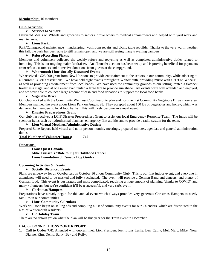# **Membership:** 16 members

# **Club Activities:**

# ➢ **Services to Seniors:**

Delivered Meals on Wheels and groceries to seniors, drove others to medical appointments and helped with yard work and maintenance.

# ➢ **Lions Park:**

Park/Campground maintenance – landscaping, washroom repairs and picnic table rebuilds. Thanks to the very warm weather this fall, the park has been able to still remain open and we are still seeing many travelling campers.

# ➢ **Refuse/Recycling Pickup**

Members and volunteers collected the weekly refuse and recycling as well as completed administrative duties related to invoicing. This is our ongoing major fundraiser. An eTransfer account has been set up and is proving beneficial for payments from refuse customers and to receive donations from guests at the campground.

# ➢ **Whitemouth Lions Socially Distanced Events**

We received a \$25,000 grant from New Horizons to provide entertainment to the seniors in our community, while adhering to all current COVID restrictions. We have held eight events throughout Whitemouth, providing music with a "DJ on Wheels", as well as providing entertainment from local bands. We have used the community grounds as our setting, rented a flatdeck trailer as a stage, and at one event even rented a large tent to provide sun shade. All events were well attended and enjoyed, and we were able to collect a large amount of cash and food donations to support the local food banks.

# ➢ **Vegetable Drive**

Our club worked with the Community Wellness Coordinator to plan and host the first Community Vegetable Drive in our area. Members manned the event at our Lions Park on August 28. They accepted about 150 lbs of vegetables and honey, which was delivered by members to local food banks. This will likely become an annual event.

# ➢ **Disaster Preparedness Grant**

Our club has received a LCIF Disaster Preparedness Grant to assist our local Emergency Response Team. The funds will be spent on items such as hydrothermal blankets, emergency first aid kits and to provide a radio system for the team.

# ➢ **Lion Virtual Meetings/Administrative Duties:**

Prepared Zone Report, held virtual and no in-person monthly meetings, prepared minutes, agendas, and general administration duties.

**Total Number of Volunteer Hours: 747**

# **Donations:**

**Lions Quest Canada Mike Janssen's "Ride to Fight Childhood Cancer Lions Foundation of Canada Dog Guides**

# **Upcoming Activities & Events:**

# ➢ **Socially Distanced Events:**

Plans are underway for an Octoberfest on October 16 at our Community Club. This is our first indoor event, and everyone in attendance will need to be masked and fully vaccinated. The event will provide a German Band and dancers, and plenty of German food. This event is our largest and most complicated, requiring a huge amount of planning (thanks to COVID) and many volunteers, but we're confident it'll be a successful, and very safe, event.

# ➢ **Christmas Hampers**

Preparations have already begun for this annual event which always provides very generous Christmas Hampers to needy families in our communities.

# ➢ **Lions Community Calendars**

Work will soon begin on selling ads and compiling a list of community events for our Calendars, which are distributed to the RM of Whitemouth residents.

# ➢ **CP Holiday Train**

There are no details yet on what the plan will be this year for the Train event in December.

# **LAC du BONNET LIONS ZONE REPORT**

**1. Call to Order 7:01** Attended with quorum met: Lion President Joel, Lions Leslie, Len, Cathy, Mel, Marc, Mike, Nora, Dianne, Kim, Denis, Barry, Bev and Rolly.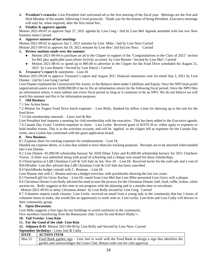**2. President's remarks:** Lion President Joel welcomed all to the first meeting of the fiscal year. Meetings are the first and third Monday of the month, following Covid protocols. Thank you for the honour of being President. Executive meetings will only be, when required, after the first initial few.

# **3. Finalize & approve agenda**

Motion 2021-09-01 to approve Sept 27, 2021 agenda by Lion Greg / 2nd by Lion Mel Agenda amended with last two New business items Carried

# **4. Approve minutes of last meetings**

Motion 2021-09-02 to approve Jun 7, 2021 minutes by Lion Mike / 2nd by Lion Nora Carried

Motion 2021-09-03 to approve Jul 19, 2021 minutes by Lion Bev/ 2nd byLion Nora Carried

# **5. Review motions made over the summer**

- Motion 2021-06-04 to purchase an ad in the Clipper in support of the "Congratulations to the Class of 2021" section for \$42 plus applicable taxes (from Activity account) by Lion Bonnie / Second by Lion Mel / Carried
- Motion 2021-08-01 to spend up to \$90.00 to advertise in the Clipper for the Food Drive scheduled for August 21, 2021 by Lion Bonnie / Second by Lion Darryl / Carried

# **6. Treasurer's report** & statements – Lion Di

Motion 2021-09-04 to approve Treasurer's report and August 2021 financial statements sent via email Sep 3, 2021 by Lion Dianne / 2nd by Lion Greg Carried

Lion Dianne explained the Unrestricted Net Assets, in the Balance sheet under Liabilities and Equity Once the NPO (non profit organization) assets excess \$200,000,00 it has to file an information return for the following fiscal period. Once the NPO files an information return, it must submit one every fiscal period as long as it continues to be an NPO. We do not believe we will reach this amount and this is for information purposes.

# **7. Old Business**

# 7.1 See Action Items

7.2 Motion for August Food Drive lunch expenses – Lion Rolly, thanked his fellow Lions for showing up in the rain for the food drive.

7.3 Club membership renewals – Lions Joel & Bev

Lion President Joel requests a meeting for club membership with the executive. This has been added to the Executive agenda 7.4 Canada Day Grant: Confirm expenses to claim – Lion Leslie Received grant of \$1979.50 to either apply to expenses or hold smaller events. This is in the activities account, and will be applied to the clipper bill as expenses for the Canada Day event, once Leslies has confirmed with the grant application board.

# **8. New Business**

8.1 Expense sheet for tracking expenses for reimbursement – Lion Di

Handed out expense sheets, to Lions that wished to have them,for tracking purposes. Receipts are to be attached when handed into Lion Dianne.

8.2 Lion Dianne -\$1,000.00 scholarship bursary for 2020 Ethan Tyles and \$1,000.00 scholarship bursary for 2021 Charlieze Yerexs A letter was submitted along with proof of schooling and a cheque was issued for these scholarships.

8.3 Participation at LdB Christmas Craft & Gift Sale on Sat, Nov 20 – Lion Di- Received invite for the craft sale and a cost of \$50.00/table Lion Bev advised that LdB Christmas Craft & Gift Sale has been cancelled.

8.4 QuickBooks budget consult with C. Bruneau – Lion Di

Lion Dianne met with C. Brunea and ran a budget overview with quickbooks showing the last two years.

8.5 Farewell gift for Gerry Kachur – Lion Di- email from Lion Mel that Lion Mike presented Lion Gerry with a plaque.

8.6 Christmas Dinner-Lion Rolly advised the need to start the process for the Christmas Dinner, hall, food, raffle, tickets, silent auction etc. Rolly suggests at this time to not progress with the planning and in a months time to reevaluate.

Motion 2021-09-05 to delay Christmas dinner by Lion Rolly second by Lion Greg. Carried

8.7 Volunteer request youth citizens- Lion Leslie, received an email from a young lady in the community that has 5 hours of volunteer hours to make, she would like an opportunity to work with us. Lion Leslie, Lion Kim and Lion Cathy will discuss in their community group.

# **9. Open Discussion-**

Lion Mike suggests a lion sign for our buildings to avoid confusion in the community.

New members transferring from the Beausejour club. Lions Ila and Robert Hlatky's

# **10. Tail Twister- Lion Kim**

**11. For the Good of the club- Lion Kim**

**12. Adjourn 8:45** Motion 2021-09-06 by Lion Rolly and Second by Lion Nora Carried

**September birthdays** - Lions Joel & Cathy

| <b>DATE</b> | <b>ACTION ITEM</b>                                                                                |
|-------------|---------------------------------------------------------------------------------------------------|
| $Mar-15$    | Food Bank garden sign – Lion Joel to work with the Food Bank to design a sign that identifies the |
|             | garden and acknowledges the Lions Club. Return with cost for club approval.                       |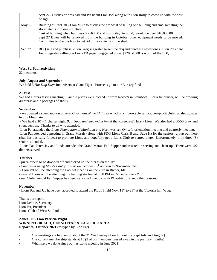|          | Sept 27- Discussion was had and President Lion Joel along with Lion Rolly to come up with the cost<br>of sign.                                                                                                                                                                                                                                                                                                  |
|----------|-----------------------------------------------------------------------------------------------------------------------------------------------------------------------------------------------------------------------------------------------------------------------------------------------------------------------------------------------------------------------------------------------------------------|
| May $-3$ | Building at FireHall - Lion Mike to discuss the proposal of selling one building and amalgamating the<br>stored items into one structure.<br>Cost of building when built was \$,7560.00 and cost today, to build, would be over \$10,000.00<br>Sept 27 Bikes will be removed from the building in October, other equipment needs to be moved.<br>Committee to discuss how to get rid or move items in the shed. |
| Sep 27   | BBQ sale and purchase -Lion Greg suggested to sell the bbq and purchase newer ones. Lion President<br>Joel suggested selling on Lions FB page. Suggested price \$1200-1500 is worth of the BBQ                                                                                                                                                                                                                  |

# **West St. Paul activities:**

22 members

#### **July**, **August and September**

We held 5 *Hot Dog Dayz* fundraisers at Giant Tiger. Proceeds go to our Bursary fund

#### **August**

We had a pizza tasting meeting. Sample pizzas were picked up from Rocco's in Steinbach. For a fundraiser, will be ordering 40 pizzas and 2 packages of shells

#### **September**

- we donated a silent auction prize to *Guardians of the Children* which is a motorcycle service/non-profit club that also donates to *Toy* Mountain

- We held a 10 + 1 charter night *Bud, Spud and Steak/Chicken* at the Rivercrest/Thirsty Lion. We also had a 50/50 draw and silent auction. Thanks to all who attended.

-Lion Pat attended the *Lions Foundation of Manitoba and Northwestern Ontario* orientation meeting and quarterly meeting.

-Lion Pat attended a meeting in Grand Marais (along with PDG Lions Chris B and Dave H) for the seniors' group out there (that has basically folded) to promote Lions and hopefully get a Lions Club re-started there. Unfortunately, only three (3) seniors attended.

-Lions Pat, Peter, Jay and Linda attended the Grand Marais Fall Supper and assisted in serving and clean-up. There were 122 dinners served.

# **October**

- pizza orders to be dropped off and picked up the pizzas on the10th.

- Fundraiser using *Mom's Pantry* to start on October 15th and run to November 15th
- Lion Pat will be attending the Cabinet meeting on the 23rd in Richer, MB
- several Lions will be attending the training starting at 3:00 PM in Richer on the 23rd.
- our Club's annual Fall Supper has been cancelled due to covid-19 restrictions and other reasons.

# **November**

**-** Lions Pat and Jay have been accepted to attend the RLLI I held Nov. 18th to 21st at the Victoria Inn, Wpg.

That is our report Lion Debbie, Secretary Lion Pat, President Lions Club of West St. Paul

# **Zones 10: - Lion Patricia Wight WINNIPEG BEACH, DUNNOTTAR & LAKESIDE AREA Report for October 2021** (re-typed by Lion Pat)

- Our meetings are held on or about the 3<sup>rd</sup> Wednesday of each month (except July and August)
- Our current membership stands at 15 (2 of our members passed away in the past few months)
- What have we done since our last zone meeting in June 2021: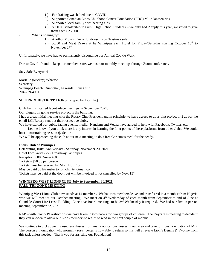- 1.) Fundraising was halted due to COVID
- 2.) Supported Canadian Lions Childhood Cancer Foundation (PDG) Mike Janssen rid)
- 3.) Supported local family with hearing aids
- 4.) \$500.00 scholarship to Gimli High School Students we only had 2 apply this year, we voted to give them each \$250.00
- What's coming up:
	- 1.) Another Mom's Pantry fundraiser pre-Christmas sale
	- 2.) 50/50 and Meat Draws at he Winnipeg each Hotel for Friday/Saturday starting October  $15<sup>th</sup>$  to November 27<sup>th</sup>

Unfortunately, we have had to permanently discontinue our Annual Cookie Walk.

Due to Covid 19 and to keep our members safe, we host our monthly meetings through Zoom conference.

Stay Safe Everyone!

Marielle (Mickey) Wharton Secretary Winnipeg Beach, Dunnottar, Lakeside Lions Club 204-229-4931

# **SEKIRK & DISTRCIT LIONS** (retyped by Lion Pat)

Club has just started face-to-face meetings in September 2021.

Our biggest on going service project is the building.

I had a great initial meeting with the Rotary Club President and in principle we have agreed to do a joint project or 2 as per the email LCI/Rotary sent out their respective clubs.

We have started our public facing events, media. Nandann and Veena have agreed to help with Facebook, Twitter, etc.

 Let me know if you think there is any interest in learning the finer points of these platforms from other clubs. We could host a info/training session @ Selkirk.

We will be approaching the club at our next meeting to do a free Christmas meal for the needy.

# **Lions Club of Winnipeg:**

Celebrating 100th Anniversary - Saturday, November 20, 2021 Hotel Fort Garry - 222 Broadway, Winnipeg Reception 5:00 Dinner 6:00 Tickets - \$50.00 per person Tickets must be reserved by Mon. Nov. 15th. May be paid by Etransfer to rpinchin@hotmail.com Tickets may be paid at the door, but will be invoiced if not cancelled by Nov.  $15<sup>th</sup>$ 

# **WINNIPEG WEST LIONS CLUB July to September 30/2021 FALL TRI-ZONE MEETING**

Winnipeg West Lions Club now stands at 14 members. We had two members leave and transferred in a member from Nigeria who we will meet at our October meeting. We meet on  $4<sup>th</sup>$  Wednesday of each month from September to end of June at Glendale Court Life Lease Building; Executive Board meetings to be 2<sup>nd</sup> Wednesday if required. We had our first in person meeting September 22, 2021.

RAP – with Covid-19 restrictions we have taken in two books for two groups of children. The Daycare is meeting to decide if they can re-open to allow our Lions members to return to read in the next couple of months.

We continue to pickup gently used eyeglasses from many optical businesses in our area and take to Lions Foundation of MB. The person at Foundation who normally sorts, boxes is now able to return so this will alleviate Lion's Dennis & Yvonne from this task unless needed. Thank you for assisting our Foundation!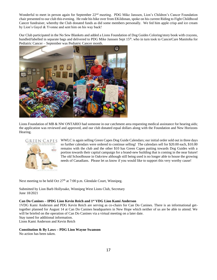Wonderful to meet in person again for September 22<sup>nd</sup> meeting. PDG Mike Janssen, Lion's Children's Cancer Foundation chair presented to our club this evening. He rode his bike over from EKildonan, spoke on his current Riding to Fight Childhood Cancer fundraiser, whereby the Club donated funds as did some members personally. We fed him apple crisp and ice cream by Lion's Gayel & Yvonne and sent him on his way back!

Our Club participated in the No Sew Blankets and added a Lions Foundation of Dog Guides Coloring/story book with crayons, bundled/labelled in separate bags and delivered to PDG Mike Janssen Sept 15<sup>th</sup>, who in turn took to CancerCare Manitoba for Pediatric Cancer – September was Pediatric Cancer month.



Lions Foundation of MB & NW ONTARIO had someone in our catchment area requesting medical assistance for hearing aids; the application was reviewed and approved, and our club donated equal dollars along with the Foundation and New Horizons Hearing.



WWLC is again selling Green Capes Dog Guide Calendars; our initial order sold out in three days so further calendars were ordered to continue selling! The calendars sell for \$20.00 each, \$10.00 remains with the club and the other \$10 has Green Capes putting towards Dog Guides with a portion towards their capital campaign for a brand-new building that is coming in the near future! The old Schoolhouse in Oakview although still being used is no longer able to house the growing needs of Canadians. Please let us know if you would like to support this very worthy cause!

Next meeting to be held Oct  $27<sup>th</sup>$  at 7:00 p.m. Glendale Court, Winnipeg.

Submitted by Lion Barb Hollyoake, Winnipeg West Lions Club, Secretary June 18/2021

# **Can Do Canines – IPDG Lion Kevin Reich and 1st VDG Lion Kami Anderson**

1VDG Kami Anderson and PDG Kevin Reich are serving as co-chairs for Can Do Canines. There is an informational gettogether planned for August 14 at Can Do Canines headquarters in New Hope which neither of us are be able to attend. We will be briefed on the operation of Can Do Canines via a virtual meeting on a later date. Stay tuned for additional information.

Lions Kami Anderson and Kevin Reich

**Constitution & By Laws – PDG Lion Wayne Swanson** No action has been taken.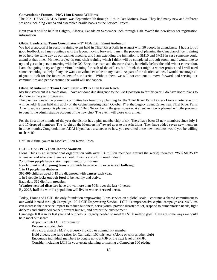# **Conventions / Forums** - **PDG Lion Deanne Williams**

The 2021 USA/CANADA Forum was September 9th through 11th in Des Moines, Iowa. They had many new and different sessions including Zumba and assembled braille books as the Service Project.

Next year it will be held in Calgary, Alberta, Canada on September 15th through 17th. Watch the newsletter for registration information.

# **Global Leadership Team Coordinator – 1 st VDG Lion Kami Anderson**

We had a successful in person training event held in Thief River Falls in August with 50 people in attendance. I had a lot of good feedback, so I may continue with the layout moving forward. I am in the process of planning the Canadian officer training to be held the same day as our cabinet meeting, and I am extending the invitation to 5M10 and 5M13 in case someone could attend at that time. My next project is zone chair training which I think will be completed through zoom, and I would like to try and get an in person meeting with the DG Executive team and the zone chairs, hopefully before the mid-winter convention. I am also going to try and get a virtual training for each of the offices, but I think that might a winter project and I will need some technological help if anyone wants to volunteer to be on my team! As part of the district cabinet, I would encourage all of you to look for the future leaders of our district. Without them, we will not continue to move forward, and serving our communities and people around the world will not happen.

#### **Global Membership Team Coordinator – IPDG Lion Kevin Reich**

My first statement is a confession, I have not done due diligence to the GMT position so far this year. I do have hopes/plans to do more as the year progresses.

The past few weeks the planning committee has been busy planning for the Thief River Falls Lioness Lions charter event. It will be held (It was held will apply on the cabinet meeting date.) October 17 at the Legacy Event Center near Thief River Falls. An enjoyable afternoon is planned with PCC Bert Nelson being the guest speaker. A silent auction is planned with the proceeds to benefit the administrative account of the new club. The event will close with a meal.

For the first three months of the year the district has a plus membership of six. There have been 23 new members since July 1 and 17 dropped members. The "Light up the Membership" award goes to the Ada Lions. They have added seven new members in three months. Congratulations ADA! If you have a secret as to how you recruited these new members would you be willing to share it?

Until next time, yours in Lionism, Lion Kevin Reich

# **LCIF – US: - PDG Lion Joanne Swanson**

Lions Clubs is an international organization with over 1.4 million members around the world; therefore **"WE SERVE"** whenever and wherever there is a need. Ours is a world in need indeed!

**2.2 billion** people have vision impairment or **blindness**.

Nearly **one-third of young teens** worldwide have recently experienced **bullying**.

**1 in 11** people has **diabetes.** 

**300,000** children aged 0-19 are diagnosed with **cancer** each year.

**1 in 9** people **lacks enough food** to be healthy and active**.**

Each day, **300** die from **measles.**

**Weather-related disasters** have grown more than 50**%** over the last 40 years.

By 2025, **half** the world's population will live in **water-stressed areas.**

Today, Lions and LCIF- the only foundation empowering Lions service on a global scale – continue a shared commitment to our world in need through Campaign 100: LCIF Empowering Service. LCIF's comprehensive capital campaign ensures Lions can increase their service impact to reduce blindness, serve youth, provide disaster relief, respond to humanitarian needs, fight diabetes and childhood cancer, prevent hunger, and protect the environment.

Campaign 100 is in its last year and our help is urgently needed to meet the \$100 million goal. Here are some ways we could help meet our share:

Appoint a club LCIF Coordinator

Become a model club.

As a club, award a MJF to a deserving club or community member.

Hold at least one fund raiser for Campaign 100 this year. (Alone or with another club)

Encourage individual members to donate up to a MJF or the next level of PMJF.

Consider including LCIF in your estate planning or making a Campaign 100 pledge.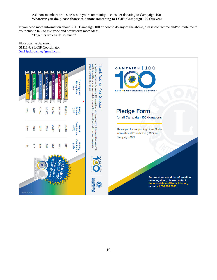# Ask non-members or businesses in your community to consider donating to Campaign 100 **Whatever you do, please choose to donate something to LCIF: Campaign 100 this year**

If you need more information about LCIF Campaign 100 or how to do any of the above, please contact me and/or invite me to your club to talk to everyone and brainstorm more ideas.

"Together we can do so much"

PDG Joanne Swanson 5M11-US LCIF Coordinator [5m11pdgjoanne@gmail.com](mailto:5m11pdgjoanne@gmail.com)

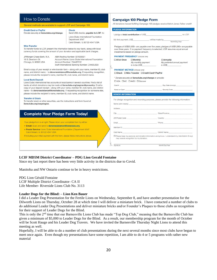#### How to Donate **Campaign 100 Pledge Form** All donations toward fulfilling Campaign 100 pledges receive Melvin Jones Fellow credit! Several methods are available to support LCIF and Campaign 100. **PLEDGE INFORMATION Credit Card or PayPal Check** Donate securely at lionsclubs.org/change. Send US\$ checks, payable to LCIF, to I pledge a *total contribution* of US\$\_ to LCIF. Lions Clubs International Foundation Department 4547 My first payment, US\$ , will be made by Month/Day/Year Carol Stream, IL 60122-4547 USA **Wire Transfer** Pledges of US\$25,000+ are payable over five years; pledges of US\$1,000+ are payable To transfer funds to LCIF, present the information below to your bank, along with local over three years. If no payment frequency is selected, LCIF assumes equal annual currency funds covering the amount of your donation and applicable bank charges. installments based on pledge amount. **PAYMENT FREQUENCY** (choose one) JPMorgan Chase Bank, N.A. ABA Routing Number: 021000021 10 S. Dearborn St. Account Name: Lions Clubs International Foundation □ All at Once □ Monthly **D**Annually Chicago, IL 60603 USA Account Number: 754487312 My monthly payment My preferred annual payment Swift International Banking Number: CHASUS33 is to be US\$ is US\$ Email a copy of your receipt or wire transfer form - along with your name, member ID, club **PAYMENT METHOD** (choose one) name, and district name - to donorassistance@lionsclubs.org. If requesting recognition, □ Check □ Wire Transfer □ Credit Card\*/PayPal please include the recipient's name, member ID, club name, and district name. \* Donate securely at lionsclubs.org/change or provide. **Local Bank Deposit OVISA OMC OAMEX ODiscover** Lions Clubs International has accounts at local banks in several countries. Find a list of banks at which donations may be made at lionsclubs.org/paymentbycountry. Email a  $Card#$ Exp. Date (mm/yy) copy of your deposit receipt - along with your name, member ID, club name, and district Name on Card Security Code name - to donorassistance@lionsclubs.org. If requesting recognition for someone else, please include the recipient's name, member ID, club name, and district name. DONOR INFORMATION **Transfer of Stock** For pledge recognition and recording purposes, please provide the following information: To transfer stock or other securities, use the instructions and form found at lionsclubs.org/waystogive. Name (print clearly) Address State/Province **Complete Your Pledge Form Today!** City ZIP/Postal Code Country Your pledge form is at right. Please return your completed form by either: Fmail Phone · Email: Scan and send to donorassistance@lionsclubs.org Member ID · Postal Service: Lions Clubs International Foundation | Department 4547 Carol Stream, IL 60122-4547 USA Club Name District Name If including your initial payment with the form, please follow instructions above.  $\Box$ Please keep my personal and donation information anonymous. I understand my club/district (if any) may receive recognition for my donation. Signature Month/Day/Year

# **LCIF MD5M District Coordinator – PDG Lion Gerald Fontaine**

Since my last report there has been very little activity in the districts due to Covid.

Manitoba and NW Ontario continue to be in heavy restrictions.

PDG Lion Gérald Fontaine LCIF Multiple District Coordinator- CA II Life Member- Riverside Lions Club No. 3113

#### **Leader Dogs for the Blind: – Lion Ken Bauer**

I did a Leader Dog Presentation for the Fertile Lions on Wednesday, September 8, and have another presentation for the Dilworth Lions on Thursday, October 28 at which time I will deliver a miniature brick. I have contacted a number of clubs to do additional Leader Dog Presentations and deliver miniature bricks and/or Founder's Plaques to those clubs as recognition for their support of Leader Dogs for the Blind.

This is only the 2<sup>nd</sup> time that our Barnesville Lions Club has made "Top Dog Club," meaning that the Barnesville Club has given a minimum of \$5,000 to Leader Dogs for the Blind. As a result, our membership program for the month of October will be Scott Hauge and his Leader Dog Travers. We have invited the Barnesville Thursday Night Lions to attend this meeting as well.

Hopefully, I will be able to do a number of club presentations during the next several months since most clubs have begun to meet once again. Even though my presentations have some repetition, I am able to do 4 or 5 programs with rather new material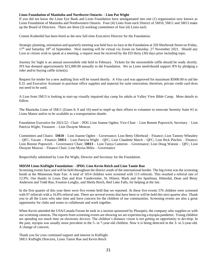#### **Lions Foundation of Manitoba and Northwest Ontario: - Lion Pat Wight**

If you did not know the Lions Eye Bank and Lions Foundation have amalgamated into one (1) organization now known as Lions Foundation of Manitoba and Northwestern Ontario. Four (4) Lions from each District of 5M10, 5M11 and 5M13 make up the Board of Directors. There are three (3) working committees of four (4) Lions each.

Connie Krahenbil has been hired as the new full-time Executive Director for the Foundation.

Strategic planning, orientation and quarterly meeting was held face-to-face at the Foundation at 320 Sherbrook Street on Friday, 17<sup>th</sup> and Saturday 18<sup>th</sup> of September. Next meeting will be virtual via Zoom on Saturday, 27 November 2021. Should any Lion or citizen wish to speak at a meeting, a request *must* be received by the ED thirty (30) days prior including topic.

Journey for Sight is an annual snowmobile ride held in February. Tickets for the snowmobile raffle should be ready shortly. JFS has donated approximately \$15,000.00 annually to the Foundation. We as Lions need/should support JFS by pledging a rider and/or buying raffle ticket(s).

Request for tender for a new auditing firm will be issued shortly. A *Visa* card was approved for maximum \$5000.00 to aid the E.D. and Executive Assistant to purchase office supplies and material for suite renovation; therefore, private credit card does not need to be used.

A Lion from 5M13 is looking to start-up visually impaired day camp for adults at Valley View Bible Camp. More details to follow.

The Manitoba Lions of 5M11 (Zones 8, 9 and 10) need to step0 up their efforts to volunteer to renovate Serenity Suite #3 in Lions Manor and/or to be available as a transportation shuttle.

Foundation Executive for 2021/22: Chair – PDG Lion Joanne Ogden; Vice-Chair – Lion Bonnie Popowich; Secretary – Lion Patricia Wight; Treasurer – Lion Dwayne Moncur.

Committees and Chairs: **5M10** – Lion Joanne Ogden – Governance; Lion Betty Ollerhead – Finance; Lion Tammy Wheatley – QFC; Vacant – Finance; **5M11** – Lion Patricia Wight – QFC; Lion Claudette Match – QFC; Lion Rick Pinchin – Finance; Lion Bonnie Popowich – Governance Chair; **5M13** – Lion Tanya Cameron – Governance; Lion Doug Watson – QFC; Lion Dwayne Moncur – Finance Chair; Lion Myrna Miles – Governance

Respectfully submitted by Lion Pat Wight, Director and Secretary for the Foundation.

#### **MD5M Lions KidSight Foundation: - IPDG Lion Kevin Reich and Lion Tamie Rue**

Screening events have and will be held throughout the district south of the international border. The big event was the screening booth at the Minnesota State Fair. A total of 1014 children were screened with 113 referrals. This resulted a referral rate of 12.9%. Our thanks to Lions Dan and Kim Vandeventer, St. Hilaire, Mark and Jen Spielman, Hitterdal, Dean and Betsy Anderson and Todd Rue, Fosston-Lengby, and Sheila Reich, Red Lake Falls, for helping at the fair.

In the first quarter of this year there were five events held that we reported. At these five events 576 children were screened with 97 referrals with a 16.8% referral rate. There are several events that have been or will be held this next quarter also. Thank you to all the Lions who take time and have concern for the children of our communities. Screening events are also a great opportunity for clubs and zones to collaborate and work together.

When Kevin attended the USA/Canada Forum he took in a session sponsored by Plusoptix, the company who supplies us with our screening cameras. The reports from screening events are showing we are experiencing a myopia pandemic. Young children are spending too much time on electronic devices. The children's distance vision is not getting an opportunity to develop. In the past, myopia was usually more prevalent in the 5- to 7-year-old children. Now it is being detected in the 3- to 5-year-old. A change of concern.

Thank you for your continued support and interest in KidSight. 5M11 KidSight Directors, Lions Tamie Rue and Kevin Reich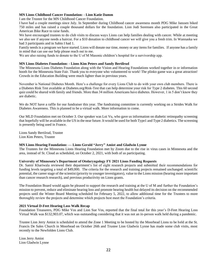# **MN Lions Childhood Cancer Foundation: - Lion Katie Damm**

I am the Trustee for the MN Childhood Cancer Foundation.

I have had a couple meetings since July. In September during Childhood cancer awareness month PDG Mike Janssen biked 750 miles and has raised a couple thousand dollars for the foundation. Lion Jodi Sorensen also participated in the Great American Bike Race to raise funds.

We have encouraged trustees to do club visits to discuss ways Lions can help families dealing with cancer. While at meeting we also see if anyone needs a haircut. For a \$10 donation to childhood cancer we will give you a fresh trim. In Wannaska we had 3 participants and in Sabin I had 1.

Family needs is a program we have started. Lions will donate our time, money or any items for families. If anyone has a family in mind that can use our help please reach out to me.

We are also raising funds to donate to the U of M Masonic children's hospital for a survivorship app.

# **MN Lions Diabetes Foundation: - Lions Kim Peters and Sandy Bertilrud**

The Minnesota Lions Diabetes Foundation along with the Vision and Hearing Foundations worked together in or information booth for the Minnesota State Fair. Thank you to everyone who volunteered to work! The plinko game was a great attraction! Crowds in the Education Building were much lighter than in previous years.

November is National Diabetes Month. Here's a challenge for every Lions Club to do with your own club members. There is a Diabetes Risk Test available at Diabetes.org/Risk-Test that can help determine your risk for Type 2 diabetes. This 60 second quiz could be shared with family and friends. More than 34 million Americans have diabetes. However, 1 in 5 don't know they are diabetic.

We do NOT have a raffle for our fundraiser this year. The fundraising committee is currently working on a Strides Walk for Diabetes Awareness. This is planned to be a virtual walk. More information to come.

Our MLD Foundation met on October 3. Our speaker was Loi Vu, who gave us information on diabetic retinopathy screening that hopefully will be available in the US in the near future. It would be used for both Type1 and Type 2 diabetics. The screening is presently being used in France.

Lions Sandy Bertilrud, Trustee Lion Kim Peters, Trustee

# **MN Lions Hearing Foundation: — Lions Gerald "Jerry" Amiot and Gladwin Lynne**

The Trustees for the Minnesota Lions Hearing Foundation met by Zoom due to the rise in virus cases in Minnesota and the area, instead of St. Cloud as scheduled, on October 2, 2021, with both of us participating.

# **University of Minnesota's Department of Otolaryngology FY 2021 Lions Funding Requests**

Dr. Samir Khariwala reviewed their department's list of eight research projects and submitted their recommendations for funding levels targeting a total of \$49,000. The criteria for the research and training projects remained unchanged: scientific potential, the career stage of the scientist (priority to younger investigators), value to the Lions mission (hearing more important than cancer research research), and previous productivity on Lions grants.

The Foundation Board would again be pleased to support the research and training at the U of M and further the Foundation's mission to prevent, reduce and eliminate hearing loss and promote hearing health but delayed its decision on the recommended projects until the Winter Board Meeting scheduled for February 5, 2022, to allow additional time for the Trustees to more thoroughly review the projects and determine which projects best meet the Foundation's criteria.

# **2021 Virtual D-Feet Hearing Loss Walk Recap**

Foundation Treasurers, PDG Mike Vos and Lion Sue Vos, reported that the final total for this year's D-Feet Hearing Loss Virtual Walk was \$132,903.07, which was outstanding considering that it was not an in-person walk held during a pandemic.

Trustee Lion Jerry Amiot is scheduled to attend the Zone 1 Meeting to be hosted by the Moorhead Lions to be held at the St. Francis De Sales Church in Moorhead on October 26th and Trustee Lion Gladwin Lynne has made some club visits, most recently to the Newfolden Lions Club.

Lion Jerry Amiot Lion Gladwin Lynne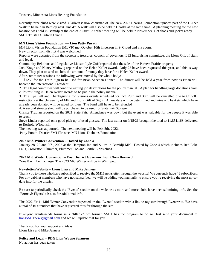Trustees, Minnesota Lions Hearing Foundation

Recently three clubs were visited. Gladwin is now chairman of The New 2022 Hearing Foundation upnorth part of the D-Feet Walk to be held in Bemidji next June 4<sup>th</sup>. A walk will also be held in Chaska at the same time. A planning meeting for the new location was held in Bemidji at the end of August. Another meeting will be held in November. Get shoes and jacket ready. 5M11 Trustee Gladwin Lynne

# **MN Lions Vision Foundation: — Lion Patty Purath**

MN Lions Vision Foundation (MLVF) met October 10th in person in St Cloud and via zoom.

New director from district 4 was welcomed.

Reports were accepted from the secretary, treasurer, council of governors, LEI fundraising committee, the Lions Gift of sight and legal.

Community Relations and Legislative Liaison Lyle Goff reported that the sale of the Parkers Prairie property.

Jack Krage and Nancy Mathwig reported on the Helen Keller award. Only 23 have been requested this year, and this is way down. They plan to send to clubs the amount of money they have for a Helen Keller award.

After committee sessions the following were moved by the whole body:

1. \$1250 for the Train Sign to be used for Brian Sheehan Dinner. The dinner will be held a year from now as Brian will become the International President.

2. The legal committee will continue writing job descriptions for the policy manual. A plan for handling large donations from clubs resulting in Helen Keller awards to be put in the policy manual.

3. The Eye Ball and Thanksgiving for Visions events scheduled for Oct. 29th and 30th will be cancelled due to COVID restrictions at the University of MN and Lions Gift of Sight. A new date will be determined and wine and baskets which have already been donated will be saved for then. The band will have to be refunded

4. A second storage shed will be purchased to be used for State Fair Storage.

Christy Trutnau reported on the 2021 State Fair. Attendance was down but the event was valuable for the people it was able to reach.

Steve Linder reported on a good pick up of used glasses. The last trailer on 9/15/21 brought the total to 11,851,168 delivered to Rosholt, Wisconsin.

The meeting was adjourned. The next meeting will be Feb. 5th, 2022.

Patty Purath, District 5M11Trustee, MN Lions Diabetes Foundation

# **2022 Mid-Winter Convention – Hosted by Zone 4**

January 28, 29 and 30<sup>th</sup>, 2022 at the Hampton Inn and Suites in Bemidji MN. Hosted by Zone 4 which includes Red Lake Falls, Crookston, Plummer, Plummer Too and Fertile Lions clubs.

# **2023 Mid Winter Convention – Past District Governor Lion Chris Barnard**

Zone 8 will be in charge. The 2023 Mid Winter will be in Winnipeg.

# **Newsletter/Website – Lions Lisa and Mike Jenness**

Thank you to those who have subscribed to receive the 5M11 newsletter through the website! We currently have 48 subscribers. For any cabinet members who have not subscribed, we will be adding you manually to ensure you're receiving the most up-todate info for the district.

Be sure to periodically check the 'Events' section on the website as more and more clubs have been submitting info. See the 'Forms & Flyers' tab also for additional info.

The 2022 5M11 Mid-Winter Convention is posted on the 'Events' section with a link to register through Eventbrite. We have a total of 10 attendees that have registered thus far through the site.

If anyone wants/needs forms in a 'fillable' pdf format, 5M11 has the program to do so. Just send your document to [lions5M11news@gmail.com](mailto:lions5M11news@gmail.com) and we will update that for you.

Thank you for your support and ideas! Lions Lisa and Mike Jenness

# **Policy and Legal – PDG Lion Wayne Swanson**

No action has been taken.